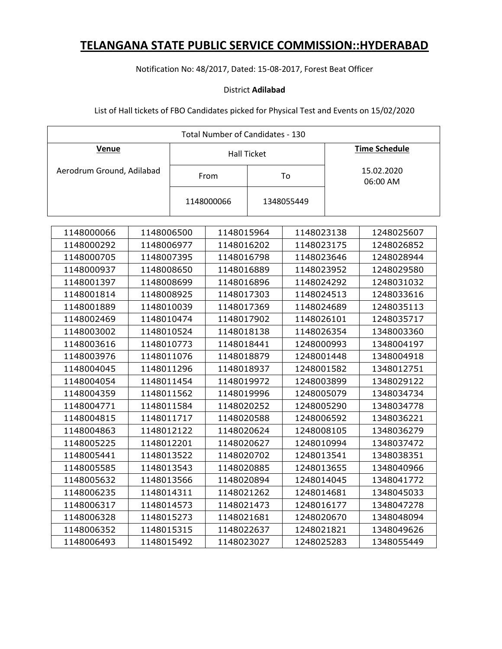Notification No: 48/2017, Dated: 15-08-2017, Forest Beat Officer

### District **Adilabad**

| <b>Total Number of Candidates - 130</b> |            |                    |            |  |            |                      |            |
|-----------------------------------------|------------|--------------------|------------|--|------------|----------------------|------------|
| <b>Venue</b>                            |            | <b>Hall Ticket</b> |            |  |            | <b>Time Schedule</b> |            |
| Aerodrum Ground, Adilabad               |            |                    | From       |  | To         | 15.02.2020           |            |
|                                         |            |                    |            |  |            |                      | 06:00 AM   |
|                                         |            |                    | 1148000066 |  | 1348055449 |                      |            |
|                                         |            |                    |            |  |            |                      |            |
|                                         |            |                    |            |  |            |                      |            |
| 1148000066                              | 1148006500 |                    | 1148015964 |  | 1148023138 |                      | 1248025607 |
| 1148000292                              | 1148006977 |                    | 1148016202 |  | 1148023175 |                      | 1248026852 |
| 1148000705                              | 1148007395 |                    | 1148016798 |  | 1148023646 |                      | 1248028944 |
| 1148000937                              | 1148008650 |                    | 1148016889 |  | 1148023952 |                      | 1248029580 |
| 1148001397                              | 1148008699 |                    | 1148016896 |  | 1148024292 |                      | 1248031032 |
| 1148001814                              | 1148008925 |                    | 1148017303 |  | 1148024513 |                      | 1248033616 |
| 1148001889                              | 1148010039 |                    | 1148017369 |  | 1148024689 |                      | 1248035113 |
| 1148002469                              | 1148010474 |                    | 1148017902 |  | 1148026101 |                      | 1248035717 |
| 1148003002                              | 1148010524 |                    | 1148018138 |  | 1148026354 |                      | 1348003360 |
| 1148003616                              | 1148010773 |                    | 1148018441 |  | 1248000993 |                      | 1348004197 |
| 1148003976                              | 1148011076 |                    | 1148018879 |  | 1248001448 |                      | 1348004918 |
| 1148004045                              | 1148011296 |                    | 1148018937 |  | 1248001582 |                      | 1348012751 |
| 1148004054                              | 1148011454 |                    | 1148019972 |  | 1248003899 |                      | 1348029122 |
| 1148004359                              | 1148011562 |                    | 1148019996 |  | 1248005079 |                      | 1348034734 |
| 1148004771                              | 1148011584 |                    | 1148020252 |  | 1248005290 |                      | 1348034778 |
| 1148004815                              | 1148011717 |                    | 1148020588 |  | 1248006592 |                      | 1348036221 |
| 1148004863                              | 1148012122 |                    | 1148020624 |  | 1248008105 |                      | 1348036279 |
| 1148005225                              | 1148012201 |                    | 1148020627 |  | 1248010994 |                      | 1348037472 |
| 1148005441                              | 1148013522 |                    | 1148020702 |  | 1248013541 |                      | 1348038351 |
| 1148005585                              | 1148013543 |                    | 1148020885 |  | 1248013655 |                      | 1348040966 |
| 1148005632                              | 1148013566 |                    | 1148020894 |  | 1248014045 |                      | 1348041772 |
| 1148006235                              | 1148014311 |                    | 1148021262 |  | 1248014681 |                      | 1348045033 |
| 1148006317                              | 1148014573 |                    | 1148021473 |  | 1248016177 |                      | 1348047278 |
| 1148006328                              | 1148015273 |                    | 1148021681 |  | 1248020670 |                      | 1348048094 |
| 1148006352                              | 1148015315 |                    | 1148022637 |  | 1248021821 |                      | 1348049626 |
| 1148006493                              | 1148015492 |                    | 1148023027 |  | 1248025283 |                      | 1348055449 |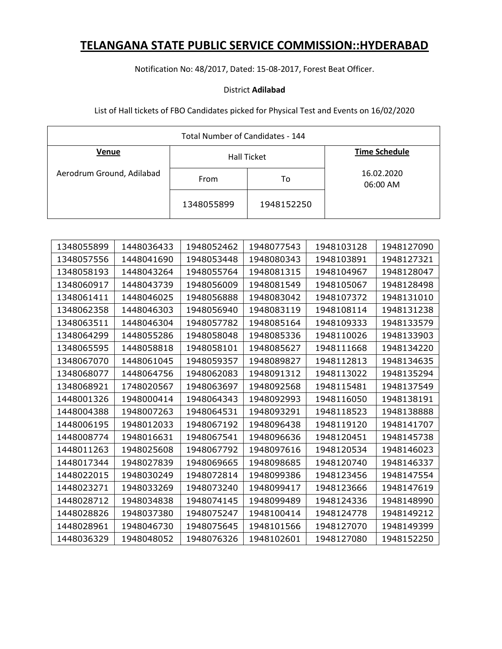Notification No: 48/2017, Dated: 15-08-2017, Forest Beat Officer.

### District **Adilabad**

| Total Number of Candidates - 144 |            |                    |                        |  |
|----------------------------------|------------|--------------------|------------------------|--|
| Venue                            |            | <b>Hall Ticket</b> | <b>Time Schedule</b>   |  |
| Aerodrum Ground, Adilabad        | From       | To                 | 16.02.2020<br>06:00 AM |  |
|                                  | 1348055899 | 1948152250         |                        |  |

| 1348055899 | 1448036433 | 1948052462 | 1948077543 | 1948103128 | 1948127090 |
|------------|------------|------------|------------|------------|------------|
| 1348057556 | 1448041690 | 1948053448 | 1948080343 | 1948103891 | 1948127321 |
| 1348058193 | 1448043264 | 1948055764 | 1948081315 | 1948104967 | 1948128047 |
| 1348060917 | 1448043739 | 1948056009 | 1948081549 | 1948105067 | 1948128498 |
| 1348061411 | 1448046025 | 1948056888 | 1948083042 | 1948107372 | 1948131010 |
| 1348062358 | 1448046303 | 1948056940 | 1948083119 | 1948108114 | 1948131238 |
| 1348063511 | 1448046304 | 1948057782 | 1948085164 | 1948109333 | 1948133579 |
| 1348064299 | 1448055286 | 1948058048 | 1948085336 | 1948110026 | 1948133903 |
| 1348065595 | 1448058818 | 1948058101 | 1948085627 | 1948111668 | 1948134220 |
| 1348067070 | 1448061045 | 1948059357 | 1948089827 | 1948112813 | 1948134635 |
| 1348068077 | 1448064756 | 1948062083 | 1948091312 | 1948113022 | 1948135294 |
| 1348068921 | 1748020567 | 1948063697 | 1948092568 | 1948115481 | 1948137549 |
| 1448001326 | 1948000414 | 1948064343 | 1948092993 | 1948116050 | 1948138191 |
| 1448004388 | 1948007263 | 1948064531 | 1948093291 | 1948118523 | 1948138888 |
| 1448006195 | 1948012033 | 1948067192 | 1948096438 | 1948119120 | 1948141707 |
| 1448008774 | 1948016631 | 1948067541 | 1948096636 | 1948120451 | 1948145738 |
| 1448011263 | 1948025608 | 1948067792 | 1948097616 | 1948120534 | 1948146023 |
| 1448017344 | 1948027839 | 1948069665 | 1948098685 | 1948120740 | 1948146337 |
| 1448022015 | 1948030249 | 1948072814 | 1948099386 | 1948123456 | 1948147554 |
| 1448023271 | 1948033269 | 1948073240 | 1948099417 | 1948123666 | 1948147619 |
| 1448028712 | 1948034838 | 1948074145 | 1948099489 | 1948124336 | 1948148990 |
| 1448028826 | 1948037380 | 1948075247 | 1948100414 | 1948124778 | 1948149212 |
| 1448028961 | 1948046730 | 1948075645 | 1948101566 | 1948127070 | 1948149399 |
| 1448036329 | 1948048052 | 1948076326 | 1948102601 | 1948127080 | 1948152250 |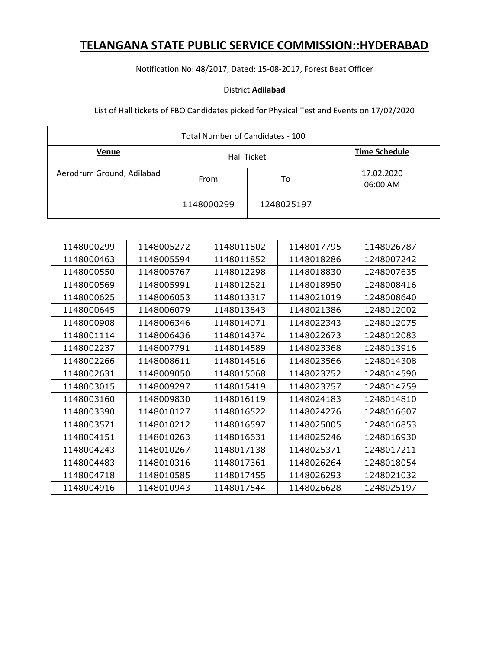Notification No: 48/2017, Dated: 15-08-2017, Forest Beat Officer

### District **Adilabad**

| Total Number of Candidates - 100 |            |                    |                        |  |
|----------------------------------|------------|--------------------|------------------------|--|
| Venue                            |            | <b>Hall Ticket</b> | <b>Time Schedule</b>   |  |
| Aerodrum Ground, Adilabad        | From       | То                 | 17.02.2020<br>06:00 AM |  |
|                                  | 1148000299 | 1248025197         |                        |  |

| 1148000299 | 1148005272 | 1148011802 | 1148017795 | 1148026787 |
|------------|------------|------------|------------|------------|
| 1148000463 | 1148005594 | 1148011852 | 1148018286 | 1248007242 |
| 1148000550 | 1148005767 | 1148012298 | 1148018830 | 1248007635 |
| 1148000569 | 1148005991 | 1148012621 | 1148018950 | 1248008416 |
| 1148000625 | 1148006053 | 1148013317 | 1148021019 | 1248008640 |
| 1148000645 | 1148006079 | 1148013843 | 1148021386 | 1248012002 |
| 1148000908 | 1148006346 | 1148014071 | 1148022343 | 1248012075 |
| 1148001114 | 1148006436 | 1148014374 | 1148022673 | 1248012083 |
| 1148002237 | 1148007791 | 1148014589 | 1148023368 | 1248013916 |
| 1148002266 | 1148008611 | 1148014616 | 1148023566 | 1248014308 |
| 1148002631 | 1148009050 | 1148015068 | 1148023752 | 1248014590 |
| 1148003015 | 1148009297 | 1148015419 | 1148023757 | 1248014759 |
| 1148003160 | 1148009830 | 1148016119 | 1148024183 | 1248014810 |
| 1148003390 | 1148010127 | 1148016522 | 1148024276 | 1248016607 |
| 1148003571 | 1148010212 | 1148016597 | 1148025005 | 1248016853 |
| 1148004151 | 1148010263 | 1148016631 | 1148025246 | 1248016930 |
| 1148004243 | 1148010267 | 1148017138 | 1148025371 | 1248017211 |
| 1148004483 | 1148010316 | 1148017361 | 1148026264 | 1248018054 |
| 1148004718 | 1148010585 | 1148017455 | 1148026293 | 1248021032 |
| 1148004916 | 1148010943 | 1148017544 | 1148026628 | 1248025197 |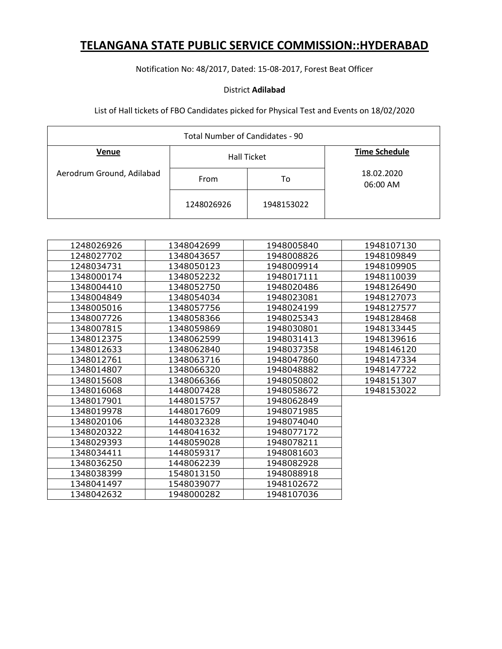Notification No: 48/2017, Dated: 15-08-2017, Forest Beat Officer

### District **Adilabad**

| Total Number of Candidates - 90 |            |                    |                        |  |
|---------------------------------|------------|--------------------|------------------------|--|
| Venue                           |            | <b>Hall Ticket</b> | <b>Time Schedule</b>   |  |
| Aerodrum Ground, Adilabad       | From       | To                 | 18.02.2020<br>06:00 AM |  |
|                                 | 1248026926 | 1948153022         |                        |  |

| 1248026926 | 1348042699 | 1948005840 | 1948107130 |
|------------|------------|------------|------------|
| 1248027702 | 1348043657 | 1948008826 | 1948109849 |
| 1248034731 | 1348050123 | 1948009914 | 1948109905 |
| 1348000174 | 1348052232 | 1948017111 | 1948110039 |
| 1348004410 | 1348052750 | 1948020486 | 1948126490 |
| 1348004849 | 1348054034 | 1948023081 | 1948127073 |
| 1348005016 | 1348057756 | 1948024199 | 1948127577 |
| 1348007726 | 1348058366 | 1948025343 | 1948128468 |
| 1348007815 | 1348059869 | 1948030801 | 1948133445 |
| 1348012375 | 1348062599 | 1948031413 | 1948139616 |
| 1348012633 | 1348062840 | 1948037358 | 1948146120 |
| 1348012761 | 1348063716 | 1948047860 | 1948147334 |
| 1348014807 | 1348066320 | 1948048882 | 1948147722 |
| 1348015608 | 1348066366 | 1948050802 | 1948151307 |
| 1348016068 | 1448007428 | 1948058672 | 1948153022 |
| 1348017901 | 1448015757 | 1948062849 |            |
| 1348019978 | 1448017609 | 1948071985 |            |
| 1348020106 | 1448032328 | 1948074040 |            |
| 1348020322 | 1448041632 | 1948077172 |            |
| 1348029393 | 1448059028 | 1948078211 |            |
| 1348034411 | 1448059317 | 1948081603 |            |
| 1348036250 | 1448062239 | 1948082928 |            |
| 1348038399 | 1548013150 | 1948088918 |            |
| 1348041497 | 1548039077 | 1948102672 |            |
| 1348042632 | 1948000282 | 1948107036 |            |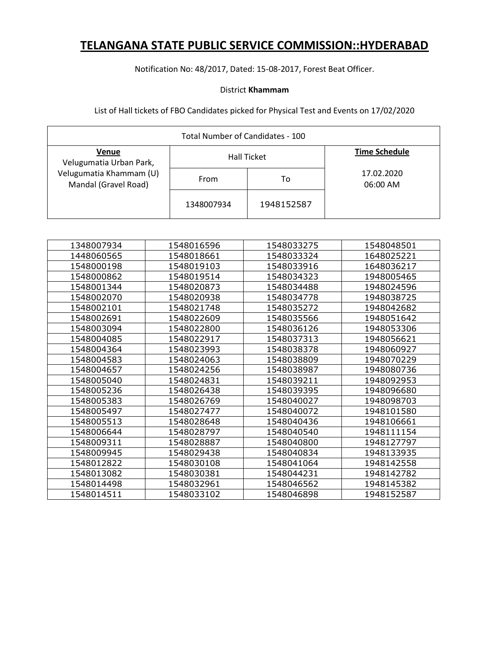Notification No: 48/2017, Dated: 15-08-2017, Forest Beat Officer.

### District **Khammam**

| Total Number of Candidates - 100                |            |                    |                        |  |
|-------------------------------------------------|------------|--------------------|------------------------|--|
| Venue<br>Velugumatia Urban Park,                |            | <b>Hall Ticket</b> | <b>Time Schedule</b>   |  |
| Velugumatia Khammam (U)<br>Mandal (Gravel Road) | From       | То                 | 17.02.2020<br>06:00 AM |  |
|                                                 | 1348007934 | 1948152587         |                        |  |

| 1348007934 | 1548016596 | 1548033275 | 1548048501 |
|------------|------------|------------|------------|
| 1448060565 | 1548018661 | 1548033324 | 1648025221 |
| 1548000198 | 1548019103 | 1548033916 | 1648036217 |
| 1548000862 | 1548019514 | 1548034323 | 1948005465 |
| 1548001344 | 1548020873 | 1548034488 | 1948024596 |
| 1548002070 | 1548020938 | 1548034778 | 1948038725 |
| 1548002101 | 1548021748 | 1548035272 | 1948042682 |
| 1548002691 | 1548022609 | 1548035566 | 1948051642 |
| 1548003094 | 1548022800 | 1548036126 | 1948053306 |
| 1548004085 | 1548022917 | 1548037313 | 1948056621 |
| 1548004364 | 1548023993 | 1548038378 | 1948060927 |
| 1548004583 | 1548024063 | 1548038809 | 1948070229 |
| 1548004657 | 1548024256 | 1548038987 | 1948080736 |
| 1548005040 | 1548024831 | 1548039211 | 1948092953 |
| 1548005236 | 1548026438 | 1548039395 | 1948096680 |
| 1548005383 | 1548026769 | 1548040027 | 1948098703 |
| 1548005497 | 1548027477 | 1548040072 | 1948101580 |
| 1548005513 | 1548028648 | 1548040436 | 1948106661 |
| 1548006644 | 1548028797 | 1548040540 | 1948111154 |
| 1548009311 | 1548028887 | 1548040800 | 1948127797 |
| 1548009945 | 1548029438 | 1548040834 | 1948133935 |
| 1548012822 | 1548030108 | 1548041064 | 1948142558 |
| 1548013082 | 1548030381 | 1548044231 | 1948142782 |
| 1548014498 | 1548032961 | 1548046562 | 1948145382 |
| 1548014511 | 1548033102 | 1548046898 | 1948152587 |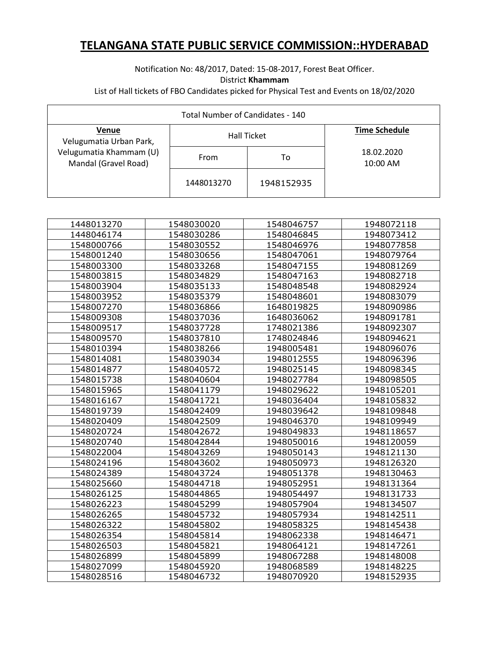### Notification No: 48/2017, Dated: 15-08-2017, Forest Beat Officer. District **Khammam** List of Hall tickets of FBO Candidates picked for Physical Test and Events on 18/02/2020

| Total Number of Candidates - 140                |            |                    |                          |  |
|-------------------------------------------------|------------|--------------------|--------------------------|--|
| Venue<br>Velugumatia Urban Park,                |            | <b>Hall Ticket</b> | <b>Time Schedule</b>     |  |
| Velugumatia Khammam (U)<br>Mandal (Gravel Road) | From       | То                 | 18.02.2020<br>$10:00$ AM |  |
|                                                 | 1448013270 | 1948152935         |                          |  |

| 1448013270 | 1548030020 | 1548046757 | 1948072118 |
|------------|------------|------------|------------|
| 1448046174 | 1548030286 | 1548046845 | 1948073412 |
| 1548000766 | 1548030552 | 1548046976 | 1948077858 |
| 1548001240 | 1548030656 | 1548047061 | 1948079764 |
| 1548003300 | 1548033268 | 1548047155 | 1948081269 |
| 1548003815 | 1548034829 | 1548047163 | 1948082718 |
| 1548003904 | 1548035133 | 1548048548 | 1948082924 |
| 1548003952 | 1548035379 | 1548048601 | 1948083079 |
| 1548007270 | 1548036866 | 1648019825 | 1948090986 |
| 1548009308 | 1548037036 | 1648036062 | 1948091781 |
| 1548009517 | 1548037728 | 1748021386 | 1948092307 |
| 1548009570 | 1548037810 | 1748024846 | 1948094621 |
| 1548010394 | 1548038266 | 1948005481 | 1948096076 |
| 1548014081 | 1548039034 | 1948012555 | 1948096396 |
| 1548014877 | 1548040572 | 1948025145 | 1948098345 |
| 1548015738 | 1548040604 | 1948027784 | 1948098505 |
| 1548015965 | 1548041179 | 1948029622 | 1948105201 |
| 1548016167 | 1548041721 | 1948036404 | 1948105832 |
| 1548019739 | 1548042409 | 1948039642 | 1948109848 |
| 1548020409 | 1548042509 | 1948046370 | 1948109949 |
| 1548020724 | 1548042672 | 1948049833 | 1948118657 |
| 1548020740 | 1548042844 | 1948050016 | 1948120059 |
| 1548022004 | 1548043269 | 1948050143 | 1948121130 |
| 1548024196 | 1548043602 | 1948050973 | 1948126320 |
| 1548024389 | 1548043724 | 1948051378 | 1948130463 |
| 1548025660 | 1548044718 | 1948052951 | 1948131364 |
| 1548026125 | 1548044865 | 1948054497 | 1948131733 |
| 1548026223 | 1548045299 | 1948057904 | 1948134507 |
| 1548026265 | 1548045732 | 1948057934 | 1948142511 |
| 1548026322 | 1548045802 | 1948058325 | 1948145438 |
| 1548026354 | 1548045814 | 1948062338 | 1948146471 |
| 1548026503 | 1548045821 | 1948064121 | 1948147261 |
| 1548026899 | 1548045899 | 1948067288 | 1948148008 |
| 1548027099 | 1548045920 | 1948068589 | 1948148225 |
| 1548028516 | 1548046732 | 1948070920 | 1948152935 |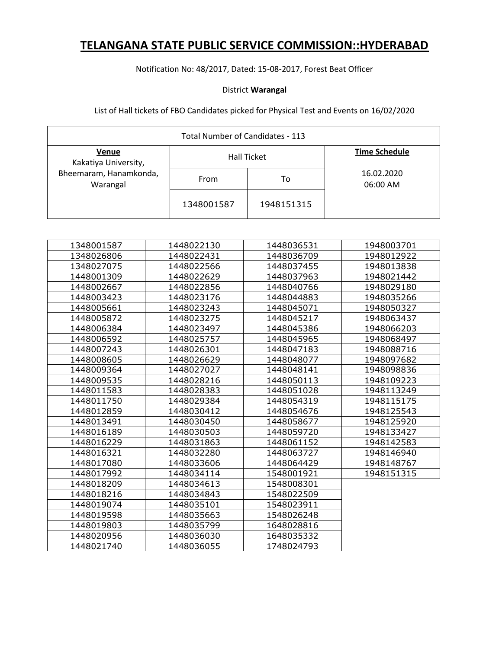Notification No: 48/2017, Dated: 15-08-2017, Forest Beat Officer

### District **Warangal**

| Total Number of Candidates - 113   |            |                    |                        |  |
|------------------------------------|------------|--------------------|------------------------|--|
| Venue<br>Kakatiya University,      |            | <b>Hall Ticket</b> | <b>Time Schedule</b>   |  |
| Bheemaram, Hanamkonda,<br>Warangal | From       | To                 | 16.02.2020<br>06:00 AM |  |
|                                    | 1348001587 | 1948151315         |                        |  |

| 1348001587 | 1448022130 | 1448036531 | 1948003701 |
|------------|------------|------------|------------|
| 1348026806 | 1448022431 | 1448036709 | 1948012922 |
| 1348027075 | 1448022566 | 1448037455 | 1948013838 |
| 1448001309 | 1448022629 | 1448037963 | 1948021442 |
| 1448002667 | 1448022856 | 1448040766 | 1948029180 |
| 1448003423 | 1448023176 | 1448044883 | 1948035266 |
| 1448005661 | 1448023243 | 1448045071 | 1948050327 |
| 1448005872 | 1448023275 | 1448045217 | 1948063437 |
| 1448006384 | 1448023497 | 1448045386 | 1948066203 |
| 1448006592 | 1448025757 | 1448045965 | 1948068497 |
| 1448007243 | 1448026301 | 1448047183 | 1948088716 |
| 1448008605 | 1448026629 | 1448048077 | 1948097682 |
| 1448009364 | 1448027027 | 1448048141 | 1948098836 |
| 1448009535 | 1448028216 | 1448050113 | 1948109223 |
| 1448011583 | 1448028383 | 1448051028 | 1948113249 |
| 1448011750 | 1448029384 | 1448054319 | 1948115175 |
| 1448012859 | 1448030412 | 1448054676 | 1948125543 |
| 1448013491 | 1448030450 | 1448058677 | 1948125920 |
| 1448016189 | 1448030503 | 1448059720 | 1948133427 |
| 1448016229 | 1448031863 | 1448061152 | 1948142583 |
| 1448016321 | 1448032280 | 1448063727 | 1948146940 |
| 1448017080 | 1448033606 | 1448064429 | 1948148767 |
| 1448017992 | 1448034114 | 1548001921 | 1948151315 |
| 1448018209 | 1448034613 | 1548008301 |            |
| 1448018216 | 1448034843 | 1548022509 |            |
| 1448019074 | 1448035101 | 1548023911 |            |
| 1448019598 | 1448035663 | 1548026248 |            |
| 1448019803 | 1448035799 | 1648028816 |            |
| 1448020956 | 1448036030 | 1648035332 |            |
| 1448021740 | 1448036055 | 1748024793 |            |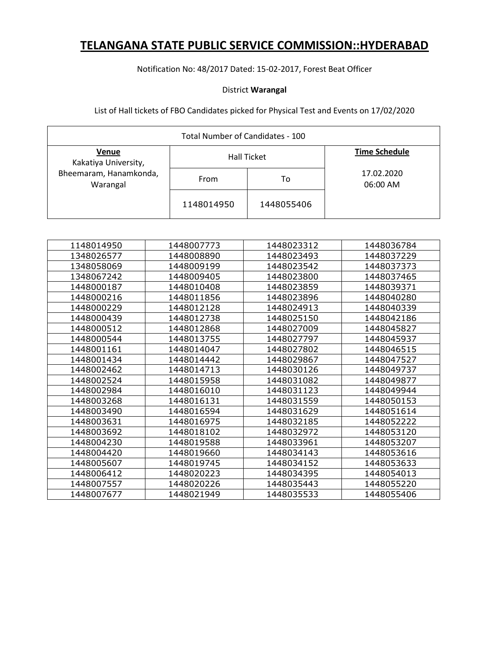### Notification No: 48/2017 Dated: 15-02-2017, Forest Beat Officer

### District **Warangal**

| Total Number of Candidates - 100   |            |                    |                        |  |
|------------------------------------|------------|--------------------|------------------------|--|
| Venue<br>Kakatiya University,      |            | <b>Hall Ticket</b> | <b>Time Schedule</b>   |  |
| Bheemaram, Hanamkonda,<br>Warangal | From       | To                 | 17.02.2020<br>06:00 AM |  |
|                                    | 1148014950 | 1448055406         |                        |  |

| 1148014950 | 1448007773 | 1448023312 | 1448036784 |
|------------|------------|------------|------------|
| 1348026577 | 1448008890 | 1448023493 | 1448037229 |
| 1348058069 | 1448009199 | 1448023542 | 1448037373 |
| 1348067242 | 1448009405 | 1448023800 | 1448037465 |
| 1448000187 | 1448010408 | 1448023859 | 1448039371 |
| 1448000216 | 1448011856 | 1448023896 | 1448040280 |
| 1448000229 | 1448012128 | 1448024913 | 1448040339 |
| 1448000439 | 1448012738 | 1448025150 | 1448042186 |
| 1448000512 | 1448012868 | 1448027009 | 1448045827 |
| 1448000544 | 1448013755 | 1448027797 | 1448045937 |
| 1448001161 | 1448014047 | 1448027802 | 1448046515 |
| 1448001434 | 1448014442 | 1448029867 | 1448047527 |
| 1448002462 | 1448014713 | 1448030126 | 1448049737 |
| 1448002524 | 1448015958 | 1448031082 | 1448049877 |
| 1448002984 | 1448016010 | 1448031123 | 1448049944 |
| 1448003268 | 1448016131 | 1448031559 | 1448050153 |
| 1448003490 | 1448016594 | 1448031629 | 1448051614 |
| 1448003631 | 1448016975 | 1448032185 | 1448052222 |
| 1448003692 | 1448018102 | 1448032972 | 1448053120 |
| 1448004230 | 1448019588 | 1448033961 | 1448053207 |
| 1448004420 | 1448019660 | 1448034143 | 1448053616 |
| 1448005607 | 1448019745 | 1448034152 | 1448053633 |
| 1448006412 | 1448020223 | 1448034395 | 1448054013 |
| 1448007557 | 1448020226 | 1448035443 | 1448055220 |
| 1448007677 | 1448021949 | 1448035533 | 1448055406 |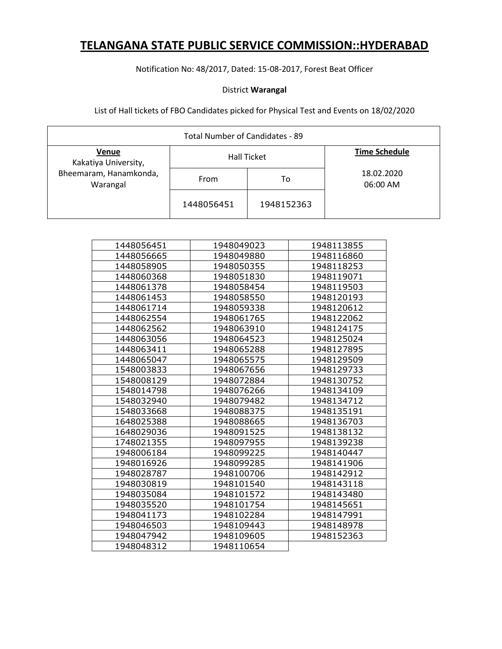Notification No: 48/2017, Dated: 15-08-2017, Forest Beat Officer

### District **Warangal**

| Total Number of Candidates - 89    |            |                    |                        |  |
|------------------------------------|------------|--------------------|------------------------|--|
| Venue<br>Kakatiya University,      |            | <b>Hall Ticket</b> | <b>Time Schedule</b>   |  |
| Bheemaram, Hanamkonda,<br>Warangal | From       | To                 | 18.02.2020<br>06:00 AM |  |
|                                    | 1448056451 | 1948152363         |                        |  |

| 1448056451 | 1948049023 | 1948113855 |
|------------|------------|------------|
| 1448056665 | 1948049880 | 1948116860 |
| 1448058905 | 1948050355 | 1948118253 |
| 1448060368 | 1948051830 | 1948119071 |
| 1448061378 | 1948058454 | 1948119503 |
| 1448061453 | 1948058550 | 1948120193 |
| 1448061714 | 1948059338 | 1948120612 |
| 1448062554 | 1948061765 | 1948122062 |
| 1448062562 | 1948063910 | 1948124175 |
| 1448063056 | 1948064523 | 1948125024 |
| 1448063411 | 1948065288 | 1948127895 |
| 1448065047 | 1948065575 | 1948129509 |
| 1548003833 | 1948067656 | 1948129733 |
| 1548008129 | 1948072884 | 1948130752 |
| 1548014798 | 1948076266 | 1948134109 |
| 1548032940 | 1948079482 | 1948134712 |
| 1548033668 | 1948088375 | 1948135191 |
| 1648025388 | 1948088665 | 1948136703 |
| 1648029036 | 1948091525 | 1948138132 |
| 1748021355 | 1948097955 | 1948139238 |
| 1948006184 | 1948099225 | 1948140447 |
| 1948016926 | 1948099285 | 1948141906 |
| 1948028787 | 1948100706 | 1948142912 |
| 1948030819 | 1948101540 | 1948143118 |
| 1948035084 | 1948101572 | 1948143480 |
| 1948035520 | 1948101754 | 1948145651 |
| 1948041173 | 1948102284 | 1948147991 |
| 1948046503 | 1948109443 | 1948148978 |
| 1948047942 | 1948109605 | 1948152363 |
| 1948048312 | 1948110654 |            |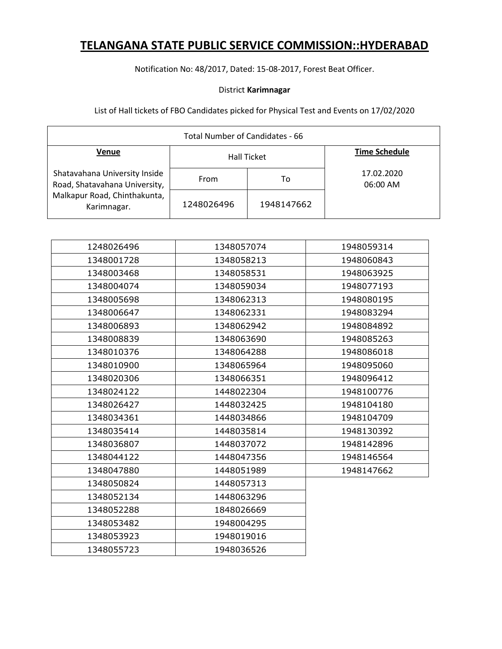Notification No: 48/2017, Dated: 15-08-2017, Forest Beat Officer.

### District **Karimnagar**

| Total Number of Candidates - 66                                |            |                    |                        |  |
|----------------------------------------------------------------|------------|--------------------|------------------------|--|
| <b>Venue</b>                                                   |            | <b>Hall Ticket</b> | <b>Time Schedule</b>   |  |
| Shatavahana University Inside<br>Road, Shatavahana University, | From       | То                 | 17.02.2020<br>06:00 AM |  |
| Malkapur Road, Chinthakunta,<br>Karimnagar.                    | 1248026496 | 1948147662         |                        |  |

| 1248026496 | 1348057074 | 1948059314 |
|------------|------------|------------|
| 1348001728 | 1348058213 | 1948060843 |
| 1348003468 | 1348058531 | 1948063925 |
| 1348004074 | 1348059034 | 1948077193 |
| 1348005698 | 1348062313 | 1948080195 |
| 1348006647 | 1348062331 | 1948083294 |
| 1348006893 | 1348062942 | 1948084892 |
| 1348008839 | 1348063690 | 1948085263 |
| 1348010376 | 1348064288 | 1948086018 |
| 1348010900 | 1348065964 | 1948095060 |
| 1348020306 | 1348066351 | 1948096412 |
| 1348024122 | 1448022304 | 1948100776 |
| 1348026427 | 1448032425 | 1948104180 |
| 1348034361 | 1448034866 | 1948104709 |
| 1348035414 | 1448035814 | 1948130392 |
| 1348036807 | 1448037072 | 1948142896 |
| 1348044122 | 1448047356 | 1948146564 |
| 1348047880 | 1448051989 | 1948147662 |
| 1348050824 | 1448057313 |            |
| 1348052134 | 1448063296 |            |
| 1348052288 | 1848026669 |            |
| 1348053482 | 1948004295 |            |
| 1348053923 | 1948019016 |            |
| 1348055723 | 1948036526 |            |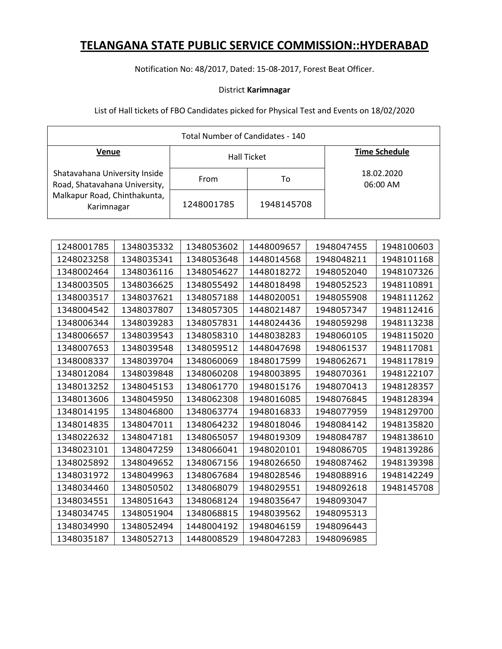Notification No: 48/2017, Dated: 15-08-2017, Forest Beat Officer.

### District **Karimnagar**

| Total Number of Candidates - 140                               |            |                    |                        |  |
|----------------------------------------------------------------|------------|--------------------|------------------------|--|
| Venue                                                          |            | <b>Hall Ticket</b> | <b>Time Schedule</b>   |  |
| Shatavahana University Inside<br>Road, Shatavahana University, | From       | То                 | 18.02.2020<br>06:00 AM |  |
| Malkapur Road, Chinthakunta,<br>Karimnagar                     | 1248001785 | 1948145708         |                        |  |

| 1248001785 | 1348035332 | 1348053602 | 1448009657 | 1948047455 | 1948100603 |
|------------|------------|------------|------------|------------|------------|
| 1248023258 | 1348035341 | 1348053648 | 1448014568 | 1948048211 | 1948101168 |
| 1348002464 | 1348036116 | 1348054627 | 1448018272 | 1948052040 | 1948107326 |
| 1348003505 | 1348036625 | 1348055492 | 1448018498 | 1948052523 | 1948110891 |
| 1348003517 | 1348037621 | 1348057188 | 1448020051 | 1948055908 | 1948111262 |
| 1348004542 | 1348037807 | 1348057305 | 1448021487 | 1948057347 | 1948112416 |
| 1348006344 | 1348039283 | 1348057831 | 1448024436 | 1948059298 | 1948113238 |
| 1348006657 | 1348039543 | 1348058310 | 1448038283 | 1948060105 | 1948115020 |
| 1348007653 | 1348039548 | 1348059512 | 1448047698 | 1948061537 | 1948117081 |
| 1348008337 | 1348039704 | 1348060069 | 1848017599 | 1948062671 | 1948117819 |
| 1348012084 | 1348039848 | 1348060208 | 1948003895 | 1948070361 | 1948122107 |
| 1348013252 | 1348045153 | 1348061770 | 1948015176 | 1948070413 | 1948128357 |
| 1348013606 | 1348045950 | 1348062308 | 1948016085 | 1948076845 | 1948128394 |
| 1348014195 | 1348046800 | 1348063774 | 1948016833 | 1948077959 | 1948129700 |
| 1348014835 | 1348047011 | 1348064232 | 1948018046 | 1948084142 | 1948135820 |
| 1348022632 | 1348047181 | 1348065057 | 1948019309 | 1948084787 | 1948138610 |
| 1348023101 | 1348047259 | 1348066041 | 1948020101 | 1948086705 | 1948139286 |
| 1348025892 | 1348049652 | 1348067156 | 1948026650 | 1948087462 | 1948139398 |
| 1348031972 | 1348049963 | 1348067684 | 1948028546 | 1948088916 | 1948142249 |
| 1348034460 | 1348050502 | 1348068079 | 1948029551 | 1948092618 | 1948145708 |
| 1348034551 | 1348051643 | 1348068124 | 1948035647 | 1948093047 |            |
| 1348034745 | 1348051904 | 1348068815 | 1948039562 | 1948095313 |            |
| 1348034990 | 1348052494 | 1448004192 | 1948046159 | 1948096443 |            |
| 1348035187 | 1348052713 | 1448008529 | 1948047283 | 1948096985 |            |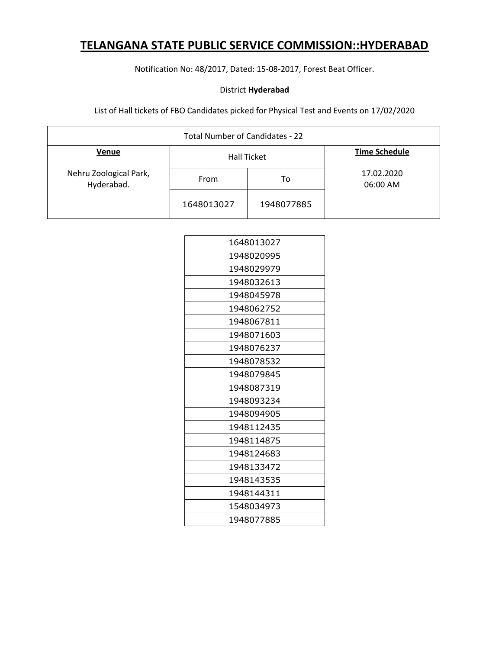Notification No: 48/2017, Dated: 15-08-2017, Forest Beat Officer.

### District **Hyderabad**

| Total Number of Candidates - 22      |            |                    |                        |  |
|--------------------------------------|------------|--------------------|------------------------|--|
| Venue                                |            | <b>Hall Ticket</b> | <b>Time Schedule</b>   |  |
| Nehru Zoological Park,<br>Hyderabad. | From       | То                 | 17.02.2020<br>06:00 AM |  |
|                                      | 1648013027 | 1948077885         |                        |  |

| 1648013027 |
|------------|
| 1948020995 |
| 1948029979 |
| 1948032613 |
| 1948045978 |
| 1948062752 |
| 1948067811 |
| 1948071603 |
| 1948076237 |
| 1948078532 |
| 1948079845 |
| 1948087319 |
| 1948093234 |
| 1948094905 |
| 1948112435 |
| 1948114875 |
| 1948124683 |
| 1948133472 |
| 1948143535 |
| 1948144311 |
| 1548034973 |
| 1948077885 |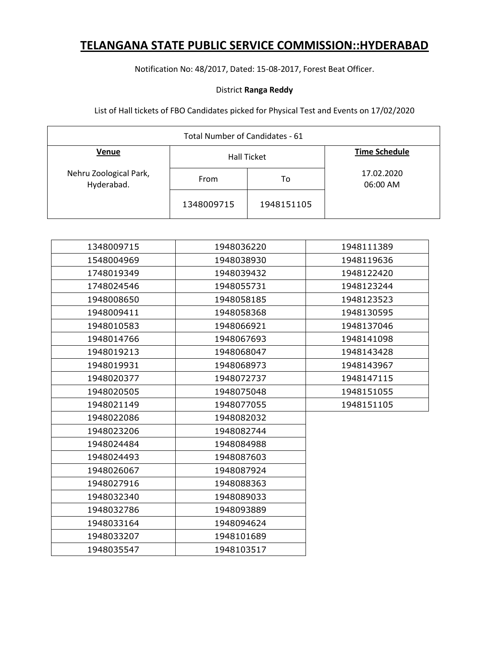Notification No: 48/2017, Dated: 15-08-2017, Forest Beat Officer.

### District **Ranga Reddy**

| Total Number of Candidates - 61      |                    |            |                        |  |
|--------------------------------------|--------------------|------------|------------------------|--|
| Venue                                | <b>Hall Ticket</b> |            | <b>Time Schedule</b>   |  |
| Nehru Zoological Park,<br>Hyderabad. | From               | To         | 17.02.2020<br>06:00 AM |  |
|                                      | 1348009715         | 1948151105 |                        |  |

| 1348009715 | 1948036220<br>1948111389 |            |
|------------|--------------------------|------------|
| 1548004969 | 1948038930               | 1948119636 |
| 1748019349 | 1948039432               | 1948122420 |
| 1748024546 | 1948055731               | 1948123244 |
| 1948008650 | 1948058185               | 1948123523 |
| 1948009411 | 1948058368               | 1948130595 |
| 1948010583 | 1948066921               | 1948137046 |
| 1948014766 | 1948067693               | 1948141098 |
| 1948019213 | 1948068047               | 1948143428 |
| 1948019931 | 1948068973               | 1948143967 |
| 1948020377 | 1948072737               | 1948147115 |
| 1948020505 | 1948075048               | 1948151055 |
| 1948021149 | 1948077055               | 1948151105 |
| 1948022086 | 1948082032               |            |
| 1948023206 | 1948082744               |            |
| 1948024484 | 1948084988               |            |
| 1948024493 | 1948087603               |            |
| 1948026067 | 1948087924               |            |
| 1948027916 | 1948088363               |            |
| 1948032340 | 1948089033               |            |
| 1948032786 | 1948093889               |            |
| 1948033164 | 1948094624               |            |
| 1948033207 | 1948101689               |            |
| 1948035547 | 1948103517               |            |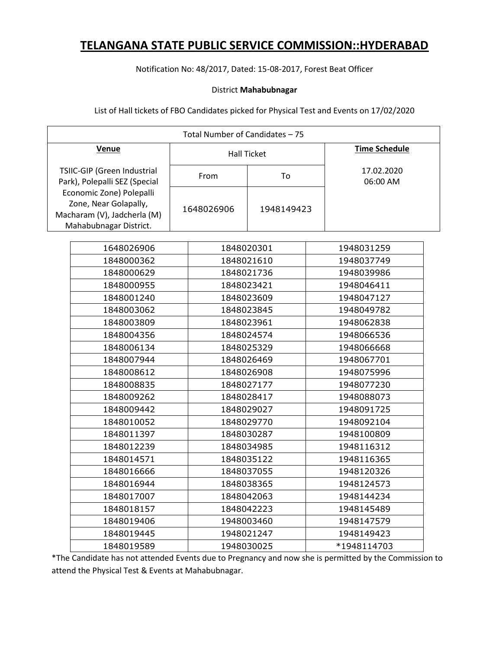Notification No: 48/2017, Dated: 15-08-2017, Forest Beat Officer

### District **Mahabubnagar**

List of Hall tickets of FBO Candidates picked for Physical Test and Events on 17/02/2020

| Total Number of Candidates - 75                                                                            |  |            |                    |            |                        |
|------------------------------------------------------------------------------------------------------------|--|------------|--------------------|------------|------------------------|
| Venue                                                                                                      |  |            | <b>Hall Ticket</b> |            | <b>Time Schedule</b>   |
| TSIIC-GIP (Green Industrial<br>Park), Polepalli SEZ (Special                                               |  | From<br>To |                    |            | 17.02.2020<br>06:00 AM |
| Economic Zone) Polepalli<br>Zone, Near Golapally,<br>Macharam (V), Jadcherla (M)<br>Mahabubnagar District. |  | 1648026906 | 1948149423         |            |                        |
| 1648026906                                                                                                 |  | 1848020301 |                    |            | 1948031259             |
| 1848000362                                                                                                 |  | 1848021610 |                    |            | 1948037749             |
| 1848000629                                                                                                 |  | 1848021736 |                    |            | 1948039986             |
| 1848000955                                                                                                 |  | 1848023421 |                    |            | 1948046411             |
| 1848001240                                                                                                 |  | 1848023609 |                    |            | 1948047127             |
| 1848003062                                                                                                 |  | 1848023845 |                    |            | 1948049782             |
| 1848003809                                                                                                 |  | 1848023961 |                    |            | 1948062838             |
| 1848004356                                                                                                 |  | 1848024574 |                    |            | 1948066536             |
| 1848006134                                                                                                 |  | 1848025329 |                    | 1948066668 |                        |
| 1848007944                                                                                                 |  | 1848026469 |                    |            | 1948067701             |
| 1848008612                                                                                                 |  | 1848026908 |                    |            | 1948075996             |
| 1848008835                                                                                                 |  | 1848027177 |                    |            | 1948077230             |
| 1848009262                                                                                                 |  | 1848028417 |                    |            | 1948088073             |
| 1848009442                                                                                                 |  | 1848029027 |                    |            | 1948091725             |
| 1848010052                                                                                                 |  | 1848029770 |                    |            | 1948092104             |
| 1848011397                                                                                                 |  | 1848030287 |                    |            | 1948100809             |
| 1848012239                                                                                                 |  | 1848034985 |                    |            | 1948116312             |
| 1848014571                                                                                                 |  | 1848035122 |                    |            | 1948116365             |
| 1848016666                                                                                                 |  | 1848037055 |                    |            | 1948120326             |
| 1848016944                                                                                                 |  | 1848038365 |                    |            | 1948124573             |
| 1848017007                                                                                                 |  |            | 1848042063         |            | 1948144234             |
| 1848018157                                                                                                 |  | 1848042223 |                    |            | 1948145489             |
| 1848019406                                                                                                 |  | 1948003460 |                    |            | 1948147579             |
| 1848019445                                                                                                 |  | 1948021247 |                    |            | 1948149423             |
| 1848019589                                                                                                 |  | 1948030025 |                    |            | *1948114703            |

\*The Candidate has not attended Events due to Pregnancy and now she is permitted by the Commission to attend the Physical Test & Events at Mahabubnagar.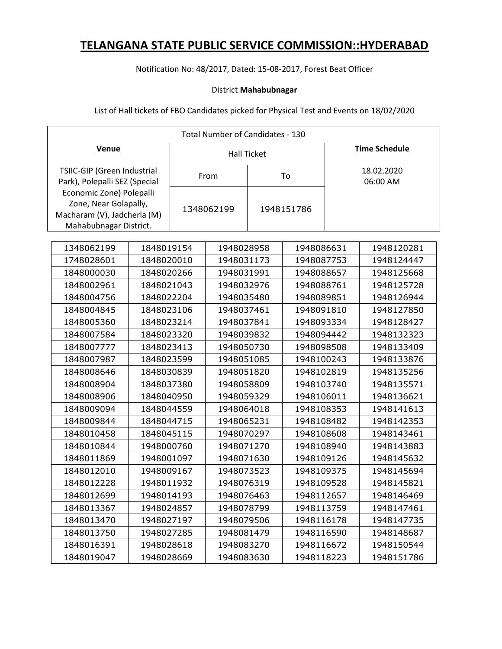Notification No: 48/2017, Dated: 15-08-2017, Forest Beat Officer

#### District **Mahabubnagar**

| Total Number of Candidates - 130                                                                           |            |                    |            |                        |            |                      |            |
|------------------------------------------------------------------------------------------------------------|------------|--------------------|------------|------------------------|------------|----------------------|------------|
| <b>Venue</b>                                                                                               |            | <b>Hall Ticket</b> |            |                        |            | <b>Time Schedule</b> |            |
| TSIIC-GIP (Green Industrial<br>Park), Polepalli SEZ (Special                                               |            | To<br>From         |            | 18.02.2020<br>06:00 AM |            |                      |            |
| Economic Zone) Polepalli<br>Zone, Near Golapally,<br>Macharam (V), Jadcherla (M)<br>Mahabubnagar District. |            |                    | 1348062199 |                        | 1948151786 |                      |            |
| 1348062199                                                                                                 | 1848019154 |                    | 1948028958 |                        | 1948086631 |                      | 1948120281 |
| 1748028601                                                                                                 | 1848020010 |                    | 1948031173 |                        | 1948087753 |                      | 1948124447 |
| 1848000030                                                                                                 | 1848020266 |                    | 1948031991 |                        | 1948088657 |                      | 1948125668 |
| 1848002961                                                                                                 | 1848021043 |                    | 1948032976 |                        | 1948088761 |                      | 1948125728 |
| 1848004756                                                                                                 | 1848022204 |                    | 1948035480 |                        | 1948089851 |                      | 1948126944 |
| 1848004845                                                                                                 | 1848023106 |                    | 1948037461 |                        | 1948091810 |                      | 1948127850 |
| 1848005360                                                                                                 | 1848023214 |                    | 1948037841 |                        | 1948093334 |                      | 1948128427 |
| 1848007584                                                                                                 | 1848023320 |                    | 1948039832 |                        | 1948094442 |                      | 1948132323 |
| 1848007777                                                                                                 | 1848023413 |                    | 1948050730 |                        | 1948098508 |                      | 1948133409 |
| 1848007987                                                                                                 | 1848023599 |                    | 1948051085 |                        | 1948100243 |                      | 1948133876 |
| 1848008646                                                                                                 | 1848030839 |                    | 1948051820 |                        | 1948102819 |                      | 1948135256 |
| 1848008904                                                                                                 | 1848037380 |                    | 1948058809 |                        | 1948103740 |                      | 1948135571 |
| 1848008906                                                                                                 | 1848040950 |                    | 1948059329 |                        | 1948106011 |                      | 1948136621 |
| 1848009094                                                                                                 | 1848044559 |                    | 1948064018 |                        | 1948108353 |                      | 1948141613 |
| 1848009844                                                                                                 | 1848044715 |                    | 1948065231 |                        | 1948108482 |                      | 1948142353 |
| 1848010458                                                                                                 | 1848045115 |                    | 1948070297 |                        | 1948108608 |                      | 1948143461 |
| 1848010844                                                                                                 | 1948000760 |                    | 1948071270 |                        | 1948108940 |                      | 1948143883 |
| 1848011869                                                                                                 | 1948001097 |                    | 1948071630 |                        | 1948109126 |                      | 1948145632 |
| 1848012010                                                                                                 | 1948009167 |                    | 1948073523 |                        | 1948109375 |                      | 1948145694 |
| 1848012228                                                                                                 | 1948011932 |                    | 1948076319 |                        | 1948109528 |                      | 1948145821 |
| 1848012699                                                                                                 | 1948014193 |                    | 1948076463 |                        | 1948112657 |                      | 1948146469 |
| 1848013367                                                                                                 | 1948024857 |                    | 1948078799 |                        | 1948113759 |                      | 1948147461 |
| 1848013470                                                                                                 | 1948027197 |                    | 1948079506 |                        | 1948116178 |                      | 1948147735 |
| 1848013750                                                                                                 | 1948027285 |                    | 1948081479 |                        | 1948116590 |                      | 1948148687 |
| 1848016391                                                                                                 | 1948028618 |                    | 1948083270 |                        | 1948116672 |                      | 1948150544 |
| 1848019047                                                                                                 | 1948028669 |                    | 1948083630 |                        | 1948118223 |                      | 1948151786 |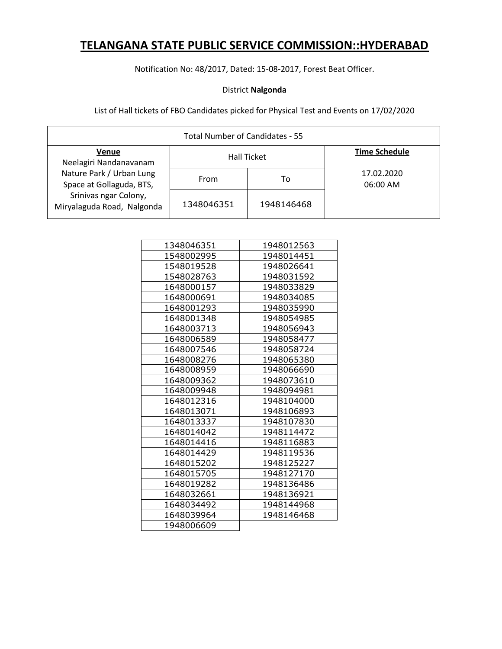Notification No: 48/2017, Dated: 15-08-2017, Forest Beat Officer.

### District **Nalgonda**

| Total Number of Candidates - 55                      |            |                    |                        |  |  |
|------------------------------------------------------|------------|--------------------|------------------------|--|--|
| <b>Venue</b><br>Neelagiri Nandanavanam               |            | <b>Hall Ticket</b> | <b>Time Schedule</b>   |  |  |
| Nature Park / Urban Lung<br>Space at Gollaguda, BTS, | From       | To                 | 17.02.2020<br>06:00 AM |  |  |
| Srinivas ngar Colony,<br>Miryalaguda Road, Nalgonda  | 1348046351 | 1948146468         |                        |  |  |

| 1348046351 | 1948012563 |
|------------|------------|
| 1548002995 | 1948014451 |
| 1548019528 | 1948026641 |
| 1548028763 | 1948031592 |
| 1648000157 | 1948033829 |
| 1648000691 | 1948034085 |
| 1648001293 | 1948035990 |
| 1648001348 | 1948054985 |
| 1648003713 | 1948056943 |
| 1648006589 | 1948058477 |
| 1648007546 | 1948058724 |
| 1648008276 | 1948065380 |
| 1648008959 | 1948066690 |
| 1648009362 | 1948073610 |
| 1648009948 | 1948094981 |
| 1648012316 | 1948104000 |
| 1648013071 | 1948106893 |
| 1648013337 | 1948107830 |
| 1648014042 | 1948114472 |
| 1648014416 | 1948116883 |
| 1648014429 | 1948119536 |
| 1648015202 | 1948125227 |
| 1648015705 | 1948127170 |
| 1648019282 | 1948136486 |
| 1648032661 | 1948136921 |
| 1648034492 | 1948144968 |
| 1648039964 | 1948146468 |
| 1948006609 |            |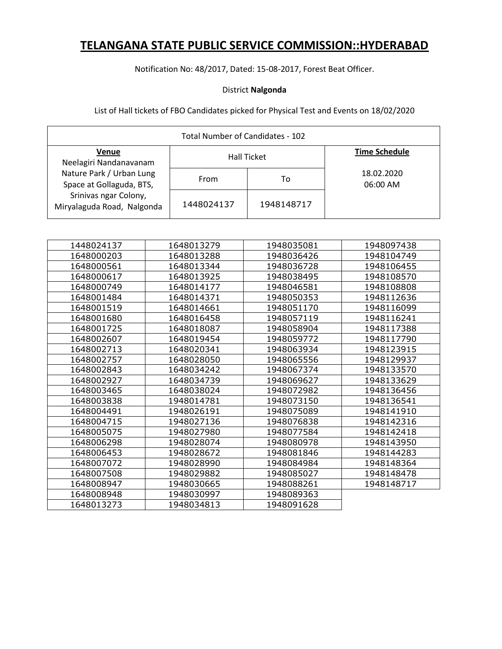Notification No: 48/2017, Dated: 15-08-2017, Forest Beat Officer.

### District **Nalgonda**

| Total Number of Candidates - 102                     |            |                    |                        |  |  |
|------------------------------------------------------|------------|--------------------|------------------------|--|--|
| Venue<br>Neelagiri Nandanavanam                      |            | <b>Hall Ticket</b> | <b>Time Schedule</b>   |  |  |
| Nature Park / Urban Lung<br>Space at Gollaguda, BTS, | From       | To                 | 18.02.2020<br>06:00 AM |  |  |
| Srinivas ngar Colony,<br>Miryalaguda Road, Nalgonda  | 1448024137 | 1948148717         |                        |  |  |

| 1448024137 | 1648013279 | 1948035081 | 1948097438 |
|------------|------------|------------|------------|
| 1648000203 | 1648013288 | 1948036426 | 1948104749 |
| 1648000561 | 1648013344 | 1948036728 | 1948106455 |
| 1648000617 | 1648013925 | 1948038495 | 1948108570 |
| 1648000749 | 1648014177 | 1948046581 | 1948108808 |
| 1648001484 | 1648014371 | 1948050353 | 1948112636 |
| 1648001519 | 1648014661 | 1948051170 | 1948116099 |
| 1648001680 | 1648016458 | 1948057119 | 1948116241 |
| 1648001725 | 1648018087 | 1948058904 | 1948117388 |
| 1648002607 | 1648019454 | 1948059772 | 1948117790 |
| 1648002713 | 1648020341 | 1948063934 | 1948123915 |
| 1648002757 | 1648028050 | 1948065556 | 1948129937 |
| 1648002843 | 1648034242 | 1948067374 | 1948133570 |
| 1648002927 | 1648034739 | 1948069627 | 1948133629 |
| 1648003465 | 1648038024 | 1948072982 | 1948136456 |
| 1648003838 | 1948014781 | 1948073150 | 1948136541 |
| 1648004491 | 1948026191 | 1948075089 | 1948141910 |
| 1648004715 | 1948027136 | 1948076838 | 1948142316 |
| 1648005075 | 1948027980 | 1948077584 | 1948142418 |
| 1648006298 | 1948028074 | 1948080978 | 1948143950 |
| 1648006453 | 1948028672 | 1948081846 | 1948144283 |
| 1648007072 | 1948028990 | 1948084984 | 1948148364 |
| 1648007508 | 1948029882 | 1948085027 | 1948148478 |
| 1648008947 | 1948030665 | 1948088261 | 1948148717 |
| 1648008948 | 1948030997 | 1948089363 |            |
| 1648013273 | 1948034813 | 1948091628 |            |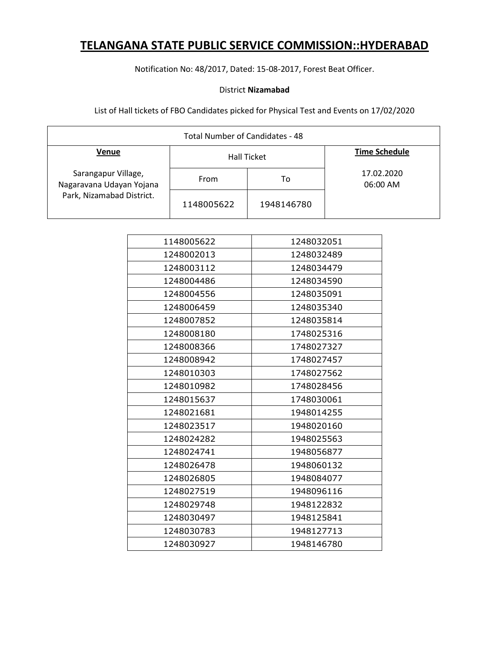Notification No: 48/2017, Dated: 15-08-2017, Forest Beat Officer.

### District **Nizamabad**

| Total Number of Candidates - 48                 |            |                    |                        |  |
|-------------------------------------------------|------------|--------------------|------------------------|--|
| <b>Venue</b>                                    |            | <b>Hall Ticket</b> | <b>Time Schedule</b>   |  |
| Sarangapur Village,<br>Nagaravana Udayan Yojana | From       | To                 | 17.02.2020<br>06:00 AM |  |
| Park, Nizamabad District.                       | 1148005622 | 1948146780         |                        |  |

| 1148005622 | 1248032051 |
|------------|------------|
| 1248002013 | 1248032489 |
| 1248003112 | 1248034479 |
| 1248004486 | 1248034590 |
| 1248004556 | 1248035091 |
| 1248006459 | 1248035340 |
| 1248007852 | 1248035814 |
| 1248008180 | 1748025316 |
| 1248008366 | 1748027327 |
| 1248008942 | 1748027457 |
| 1248010303 | 1748027562 |
| 1248010982 | 1748028456 |
| 1248015637 | 1748030061 |
| 1248021681 | 1948014255 |
| 1248023517 | 1948020160 |
| 1248024282 | 1948025563 |
| 1248024741 | 1948056877 |
| 1248026478 | 1948060132 |
| 1248026805 | 1948084077 |
| 1248027519 | 1948096116 |
| 1248029748 | 1948122832 |
| 1248030497 | 1948125841 |
| 1248030783 | 1948127713 |
| 1248030927 | 1948146780 |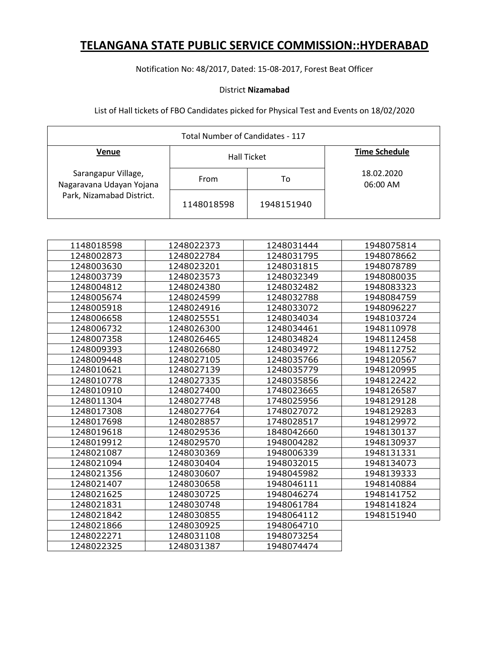Notification No: 48/2017, Dated: 15-08-2017, Forest Beat Officer

### District **Nizamabad**

| Total Number of Candidates - 117                |            |                    |                        |  |
|-------------------------------------------------|------------|--------------------|------------------------|--|
| <b>Venue</b>                                    |            | <b>Hall Ticket</b> | <b>Time Schedule</b>   |  |
| Sarangapur Village,<br>Nagaravana Udayan Yojana | From       | то                 | 18.02.2020<br>06:00 AM |  |
| Park, Nizamabad District.                       | 1148018598 | 1948151940         |                        |  |

| 1148018598 | 1248022373 | 1248031444 | 1948075814 |
|------------|------------|------------|------------|
| 1248002873 | 1248022784 | 1248031795 | 1948078662 |
| 1248003630 | 1248023201 | 1248031815 | 1948078789 |
| 1248003739 | 1248023573 | 1248032349 | 1948080035 |
| 1248004812 | 1248024380 | 1248032482 | 1948083323 |
| 1248005674 | 1248024599 | 1248032788 | 1948084759 |
| 1248005918 | 1248024916 | 1248033072 | 1948096227 |
| 1248006658 | 1248025551 | 1248034034 | 1948103724 |
| 1248006732 | 1248026300 | 1248034461 | 1948110978 |
| 1248007358 | 1248026465 | 1248034824 | 1948112458 |
| 1248009393 | 1248026680 | 1248034972 | 1948112752 |
| 1248009448 | 1248027105 | 1248035766 | 1948120567 |
| 1248010621 | 1248027139 | 1248035779 | 1948120995 |
| 1248010778 | 1248027335 | 1248035856 | 1948122422 |
| 1248010910 | 1248027400 | 1748023665 | 1948126587 |
| 1248011304 | 1248027748 | 1748025956 | 1948129128 |
| 1248017308 | 1248027764 | 1748027072 | 1948129283 |
| 1248017698 | 1248028857 | 1748028517 | 1948129972 |
| 1248019618 | 1248029536 | 1848042660 | 1948130137 |
| 1248019912 | 1248029570 | 1948004282 | 1948130937 |
| 1248021087 | 1248030369 | 1948006339 | 1948131331 |
| 1248021094 | 1248030404 | 1948032015 | 1948134073 |
| 1248021356 | 1248030607 | 1948045982 | 1948139333 |
| 1248021407 | 1248030658 | 1948046111 | 1948140884 |
| 1248021625 | 1248030725 | 1948046274 | 1948141752 |
| 1248021831 | 1248030748 | 1948061784 | 1948141824 |
| 1248021842 | 1248030855 | 1948064112 | 1948151940 |
| 1248021866 | 1248030925 | 1948064710 |            |
| 1248022271 | 1248031108 | 1948073254 |            |
| 1248022325 | 1248031387 | 1948074474 |            |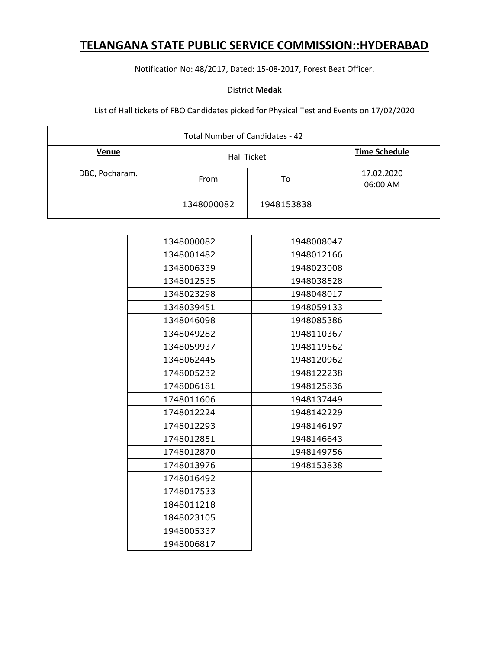Notification No: 48/2017, Dated: 15-08-2017, Forest Beat Officer.

### District **Medak**

| Total Number of Candidates - 42 |            |                    |                        |  |  |
|---------------------------------|------------|--------------------|------------------------|--|--|
| Venue                           |            | <b>Hall Ticket</b> | <b>Time Schedule</b>   |  |  |
| DBC, Pocharam.                  | From       | To                 | 17.02.2020<br>06:00 AM |  |  |
|                                 | 1348000082 | 1948153838         |                        |  |  |

| 1348000082 | 1948008047 |
|------------|------------|
| 1348001482 | 1948012166 |
| 1348006339 | 1948023008 |
| 1348012535 | 1948038528 |
| 1348023298 | 1948048017 |
| 1348039451 | 1948059133 |
| 1348046098 | 1948085386 |
| 1348049282 | 1948110367 |
| 1348059937 | 1948119562 |
| 1348062445 | 1948120962 |
| 1748005232 | 1948122238 |
| 1748006181 | 1948125836 |
| 1748011606 | 1948137449 |
| 1748012224 | 1948142229 |
| 1748012293 | 1948146197 |
| 1748012851 | 1948146643 |
| 1748012870 | 1948149756 |
| 1748013976 | 1948153838 |
| 1748016492 |            |
| 1748017533 |            |
| 1848011218 |            |
| 1848023105 |            |
| 1948005337 |            |
| 1948006817 |            |